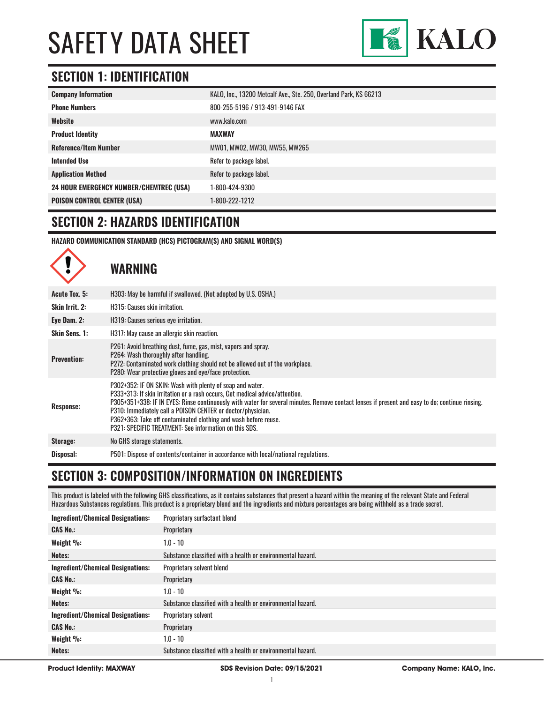

### **SECTION 1: IDENTIFICATION**

| <b>Company Information</b>                     | KALO, Inc., 13200 Metcalf Ave., Ste. 250, Overland Park, KS 66213 |
|------------------------------------------------|-------------------------------------------------------------------|
| <b>Phone Numbers</b>                           | 800-255-5196 / 913-491-9146 FAX                                   |
| Website                                        | www.kalo.com                                                      |
| <b>Product Identity</b>                        | <b>MAXWAY</b>                                                     |
| <b>Reference/Item Number</b>                   | MW01, MW02, MW30, MW55, MW265                                     |
| <b>Intended Use</b>                            | Refer to package label.                                           |
| <b>Application Method</b>                      | Refer to package label.                                           |
| <b>24 HOUR EMERGENCY NUMBER/CHEMTREC (USA)</b> | 1-800-424-9300                                                    |
| <b>POISON CONTROL CENTER (USA)</b>             | 1-800-222-1212                                                    |

### **SECTION 2: HAZARDS IDENTIFICATION**

 $\curvearrowright$ 

**HAZARD COMMUNICATION STANDARD (HCS) PICTOGRAM(S) AND SIGNAL WORD(S)**

|                    | WARNING                                                                                                                                                                                                                                                                                                                                                                                                                                                                                  |
|--------------------|------------------------------------------------------------------------------------------------------------------------------------------------------------------------------------------------------------------------------------------------------------------------------------------------------------------------------------------------------------------------------------------------------------------------------------------------------------------------------------------|
| Acute Tox. 5:      | H303: May be harmful if swallowed. (Not adopted by U.S. OSHA.)                                                                                                                                                                                                                                                                                                                                                                                                                           |
| Skin Irrit. 2:     | H315: Causes skin irritation.                                                                                                                                                                                                                                                                                                                                                                                                                                                            |
| Eye Dam. 2:        | H319: Causes serious eye irritation.                                                                                                                                                                                                                                                                                                                                                                                                                                                     |
| Skin Sens. 1:      | H317: May cause an allergic skin reaction.                                                                                                                                                                                                                                                                                                                                                                                                                                               |
| <b>Prevention:</b> | P261: Avoid breathing dust, fume, gas, mist, vapors and spray.<br>P264: Wash thoroughly after handling.<br>P272: Contaminated work clothing should not be allowed out of the workplace.<br>P280: Wear protective gloves and eye/face protection.                                                                                                                                                                                                                                         |
| <b>Response:</b>   | P302+352: IF ON SKIN: Wash with plenty of soap and water.<br>P333+313: If skin irritation or a rash occurs, Get medical advice/attention.<br>P305+351+338: IF IN EYES: Rinse continuously with water for several minutes. Remove contact lenses if present and easy to do; continue rinsing.<br>P310: Immediately call a POISON CENTER or doctor/physician.<br>P362+363: Take off contaminated clothing and wash before reuse.<br>P321: SPECIFIC TREATMENT: See information on this SDS. |
| Storage:           | No GHS storage statements.                                                                                                                                                                                                                                                                                                                                                                                                                                                               |
| Disposal:          | P501: Dispose of contents/container in accordance with local/national regulations.                                                                                                                                                                                                                                                                                                                                                                                                       |

### **SECTION 3: COMPOSITION/INFORMATION ON INGREDIENTS**

This product is labeled with the following GHS classifications, as it contains substances that present a hazard within the meaning of the relevant State and Federal Hazardous Substances regulations. This product is a proprietary blend and the ingredients and mixture percentages are being withheld as a trade secret.

| Ingredient/Chemical Designations:        | Proprietary surfactant blend                                |
|------------------------------------------|-------------------------------------------------------------|
| <b>CAS No.:</b>                          | Proprietary                                                 |
| Weight %:                                | $1.0 - 10$                                                  |
| Notes:                                   | Substance classified with a health or environmental hazard. |
| <b>Ingredient/Chemical Designations:</b> | <b>Proprietary solvent blend</b>                            |
| <b>CAS No.:</b>                          | Proprietary                                                 |
| Weight %:                                | $1.0 - 10$                                                  |
| Notes:                                   | Substance classified with a health or environmental hazard. |
| <b>Ingredient/Chemical Designations:</b> | <b>Proprietary solvent</b>                                  |
| <b>CAS No.:</b>                          | Proprietary                                                 |
| Weight %:                                | $1.0 - 10$                                                  |
| Notes:                                   | Substance classified with a health or environmental hazard. |
|                                          |                                                             |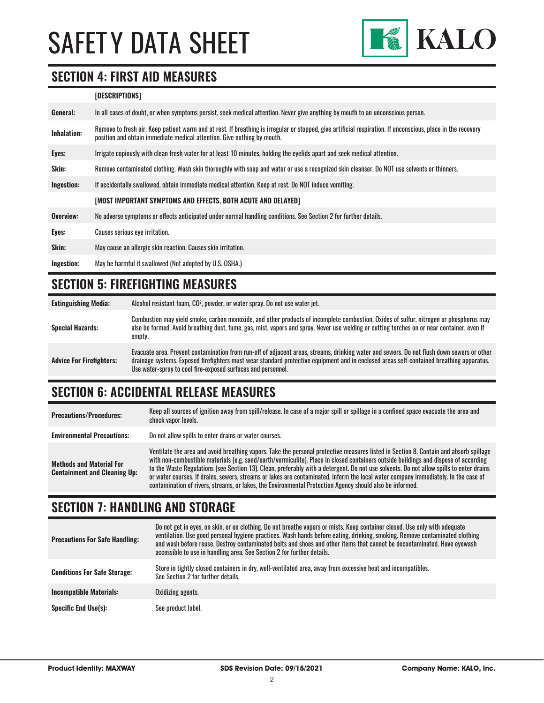

#### **SECTION 4: FIRST AID MEASURES**

#### **[DESCRIPTIONS]**

| General:    | In all cases of doubt, or when symptoms persist, seek medical attention. Never give anything by mouth to an unconscious person.                                                                                                         |
|-------------|-----------------------------------------------------------------------------------------------------------------------------------------------------------------------------------------------------------------------------------------|
| Inhalation: | Remove to fresh air. Keep patient warm and at rest. If breathing is irregular or stopped, give artificial respiration. If unconscious, place in the recovery<br>position and obtain immediate medical attention. Give nothing by mouth. |
| Eyes:       | Irrigate copiously with clean fresh water for at least 10 minutes, holding the eyelids apart and seek medical attention.                                                                                                                |
| Skin:       | Remove contaminated clothing. Wash skin thoroughly with soap and water or use a recognized skin cleanser. Do NOT use solvents or thinners.                                                                                              |
| Ingestion:  | If accidentally swallowed, obtain immediate medical attention. Keep at rest, Do NOT induce vomiting.                                                                                                                                    |
|             | [MOST IMPORTANT SYMPTOMS AND EFFECTS, BOTH ACUTE AND DELAYED]                                                                                                                                                                           |
| Overview:   | No adverse symptoms or effects anticipated under normal handling conditions. See Section 2 for further details.                                                                                                                         |
| Eyes:       | Causes serious eye irritation.                                                                                                                                                                                                          |
| Skin:       | May cause an allergic skin reaction. Causes skin irritation.                                                                                                                                                                            |
| Ingestion:  | May be harmful if swallowed (Not adopted by U.S. OSHA.)                                                                                                                                                                                 |

#### **SECTION 5: FIREFIGHTING MEASURES**

**Extinguishing Media:** Alcohol resistant foam, CO2 , powder, or water spray. Do not use water jet.

| <b>Special Hazards:</b>         | Combustion may yield smoke, carbon monoxide, and other products of incomplete combustion. Oxides of sulfur, nitrogen or phosphorus may<br>also be formed. Avoid breathing dust, fume, gas, mist, vapors and spray. Never use welding or cutting torches on or near container, even if<br>empty.                                                        |
|---------------------------------|--------------------------------------------------------------------------------------------------------------------------------------------------------------------------------------------------------------------------------------------------------------------------------------------------------------------------------------------------------|
| <b>Advice For Firefighters:</b> | Evacuate area. Prevent contamination from run-off of adjacent areas, streams, drinking water and sewers. Do not flush down sewers or other<br>drainage systems. Exposed firefighters must wear standard protective equipment and in enclosed areas self-contained breathing apparatus.<br>Use water-spray to cool fire-exposed surfaces and personnel. |

### **SECTION 6: ACCIDENTAL RELEASE MEASURES**

| <b>Precautions/Procedures:</b>                                         | Keep all sources of ignition away from spill/release. In case of a major spill or spillage in a confined space evacuate the area and<br>check vapor levels.                                                                                                                                                                                                                                                                                                                                                                                                                                                                                                               |
|------------------------------------------------------------------------|---------------------------------------------------------------------------------------------------------------------------------------------------------------------------------------------------------------------------------------------------------------------------------------------------------------------------------------------------------------------------------------------------------------------------------------------------------------------------------------------------------------------------------------------------------------------------------------------------------------------------------------------------------------------------|
| <b>Environmental Precautions:</b>                                      | Do not allow spills to enter drains or water courses.                                                                                                                                                                                                                                                                                                                                                                                                                                                                                                                                                                                                                     |
| <b>Methods and Material For</b><br><b>Containment and Cleaning Up:</b> | Ventilate the area and avoid breathing vapors. Take the personal protective measures listed in Section 8. Contain and absorb spillage<br>with non-combustible materials (e.g. sand/earth/vermiculite). Place in closed containers outside buildings and dispose of according<br>to the Waste Regulations (see Section 13). Clean, preferably with a detergent. Do not use solvents. Do not allow spills to enter drains<br>or water courses. If drains, sewers, streams or lakes are contaminated, inform the local water company immediately. In the case of<br>contamination of rivers, streams, or lakes, the Environmental Protection Agency should also be informed. |

### **SECTION 7: HANDLING AND STORAGE**

| <b>Precautions For Safe Handling:</b> | Do not get in eyes, on skin, or on clothing. Do not breathe vapors or mists. Keep container closed. Use only with adequate<br>ventilation. Use good personal hygiene practices. Wash hands before eating, drinking, smoking. Remove contaminated clothing<br>and wash before reuse. Destroy contaminated belts and shoes and other items that cannot be decontaminated. Have eyewash<br>accessible to use in handling area. See Section 2 for further details. |
|---------------------------------------|----------------------------------------------------------------------------------------------------------------------------------------------------------------------------------------------------------------------------------------------------------------------------------------------------------------------------------------------------------------------------------------------------------------------------------------------------------------|
| <b>Conditions For Safe Storage:</b>   | Store in tightly closed containers in dry, well-ventilated area, away from excessive heat and incompatibles.<br>See Section 2 for further details.                                                                                                                                                                                                                                                                                                             |
| <b>Incompatible Materials:</b>        | Oxidizing agents.                                                                                                                                                                                                                                                                                                                                                                                                                                              |
| <b>Specific End Use(s):</b>           | See product label.                                                                                                                                                                                                                                                                                                                                                                                                                                             |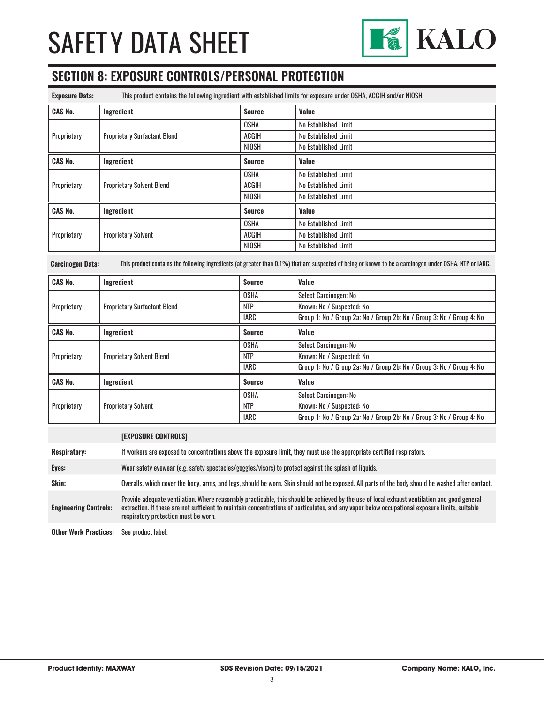

### **SECTION 8: EXPOSURE CONTROLS/PERSONAL PROTECTION**

| <b>Exposure Data:</b> | This product contains the following ingredient with established limits for exposure under OSHA, ACGIH and/or NIOSH. |               |                      |
|-----------------------|---------------------------------------------------------------------------------------------------------------------|---------------|----------------------|
| <b>CAS No.</b>        | Ingredient                                                                                                          | <b>Source</b> | Value                |
|                       | <b>Proprietary Surfactant Blend</b>                                                                                 | <b>OSHA</b>   | No Established Limit |
| Proprietary           |                                                                                                                     | ACGIH         | No Established Limit |
|                       |                                                                                                                     | NIOSH         | No Established Limit |
| <b>CAS No.</b>        | Ingredient                                                                                                          | <b>Source</b> | <b>Value</b>         |
| Proprietary           | <b>Proprietary Solvent Blend</b>                                                                                    | <b>OSHA</b>   | No Established Limit |
|                       |                                                                                                                     | <b>ACGIH</b>  | No Established Limit |
|                       |                                                                                                                     | NIOSH         | No Established Limit |
| <b>CAS No.</b>        | Ingredient                                                                                                          | <b>Source</b> | Value                |
| Proprietary           | <b>Proprietary Solvent</b>                                                                                          | <b>OSHA</b>   | No Established Limit |
|                       |                                                                                                                     | <b>ACGIH</b>  | No Established Limit |
|                       |                                                                                                                     | NIOSH         | No Established Limit |

**Carcinogen Data:** This product contains the following ingredients (at greater than 0.1%) that are suspected of being or known to be a carcinogen under OSHA, NTP or IARC.

| <b>CAS No.</b> | Ingredient                          | <b>Source</b> | Value                                                                 |
|----------------|-------------------------------------|---------------|-----------------------------------------------------------------------|
| Proprietary    | <b>Proprietary Surfactant Blend</b> | <b>OSHA</b>   | Select Carcinogen: No                                                 |
|                |                                     | <b>NTP</b>    | Known: No / Suspected: No                                             |
|                |                                     | IARC          | Group 1: No / Group 2a: No / Group 2b: No / Group 3: No / Group 4: No |
| <b>CAS No.</b> | Ingredient                          | Source        | Value                                                                 |
| Proprietary    | <b>Proprietary Solvent Blend</b>    | <b>OSHA</b>   | Select Carcinogen: No                                                 |
|                |                                     | <b>NTP</b>    | Known: No / Suspected: No                                             |
|                |                                     | IARC          | Group 1: No / Group 2a: No / Group 2b: No / Group 3: No / Group 4: No |
| <b>CAS No.</b> | Ingredient                          | Source        | Value                                                                 |
| Proprietary    | <b>Proprietary Solvent</b>          | <b>OSHA</b>   | Select Carcinogen: No                                                 |
|                |                                     | <b>NTP</b>    | Known: No / Suspected: No                                             |
|                |                                     | <b>IARC</b>   | Group 1: No / Group 2a: No / Group 2b: No / Group 3: No / Group 4: No |

|                              | <b>[EXPOSURE CONTROLS]</b>                                                                                                                                                                                                                                                                                                             |
|------------------------------|----------------------------------------------------------------------------------------------------------------------------------------------------------------------------------------------------------------------------------------------------------------------------------------------------------------------------------------|
| <b>Respiratory:</b>          | If workers are exposed to concentrations above the exposure limit, they must use the appropriate certified respirators.                                                                                                                                                                                                                |
| Eyes:                        | Wear safety eyewear (e.g. safety spectacles/goggles/visors) to protect against the splash of liquids.                                                                                                                                                                                                                                  |
| Skin:                        | Overalls, which cover the body, arms, and legs, should be worn. Skin should not be exposed. All parts of the body should be washed after contact.                                                                                                                                                                                      |
| <b>Engineering Controls:</b> | Provide adequate ventilation. Where reasonably practicable, this should be achieved by the use of local exhaust ventilation and good general<br>extraction. If these are not sufficient to maintain concentrations of particulates, and any vapor below occupational exposure limits, suitable<br>respiratory protection must be worn. |
| <b>Other Work Practices:</b> | See product label.                                                                                                                                                                                                                                                                                                                     |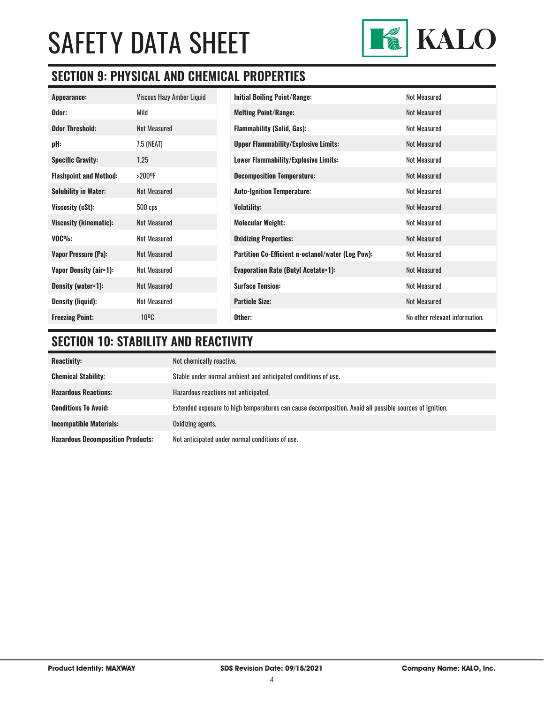

### **SECTION 9: PHYSICAL AND CHEMICAL PROPERTIES**

| Appearance:                   | Viscous Hazy Amber Liquid | <b>Initial Boiling Point/Range:</b>                      | <b>Not Measured</b>            |
|-------------------------------|---------------------------|----------------------------------------------------------|--------------------------------|
| Odor:                         | Mild                      | <b>Melting Point/Range:</b>                              | <b>Not Measured</b>            |
| <b>Odor Threshold:</b>        | <b>Not Measured</b>       | <b>Flammability (Solid, Gas):</b>                        | Not Measured                   |
| pH:                           | 7.5 (NEAT)                | <b>Upper Flammability/Explosive Limits:</b>              | Not Measured                   |
| <b>Specific Gravity:</b>      | 1.25                      | <b>Lower Flammability/Explosive Limits:</b>              | Not Measured                   |
| <b>Flashpoint and Method:</b> | >200°F                    | <b>Decomposition Temperature:</b>                        | Not Measured                   |
| <b>Solubility in Water:</b>   | <b>Not Measured</b>       | <b>Auto-Ignition Temperature:</b>                        | Not Measured                   |
| Viscosity (cSt):              | $500$ cps                 | <b>Volatility:</b>                                       | <b>Not Measured</b>            |
| <b>Viscosity (kinematic):</b> | Not Measured              | <b>Molecular Weight:</b>                                 | Not Measured                   |
| $VOC\%$ :                     | <b>Not Measured</b>       | <b>Oxidizing Properties:</b>                             | <b>Not Measured</b>            |
| Vapor Pressure (Pa):          | <b>Not Measured</b>       | <b>Partition Co-Efficient n-octanol/water (Log Pow):</b> | <b>Not Measured</b>            |
| Vapor Density (air=1):        | <b>Not Measured</b>       | <b>Evaporation Rate (Butyl Acetate=1):</b>               | Not Measured                   |
| Density (water=1):            | <b>Not Measured</b>       | <b>Surface Tension:</b>                                  | Not Measured                   |
| <b>Density (liquid):</b>      | <b>Not Measured</b>       | <b>Particle Size:</b>                                    | <b>Not Measured</b>            |
| <b>Freezing Point:</b>        | $-10^{\circ}$ C           | Other:                                                   | No other relevant information. |

### **SECTION 10: STABILITY AND REACTIVITY**

| <b>Reactivity:</b>                       | Not chemically reactive.                                                                                |
|------------------------------------------|---------------------------------------------------------------------------------------------------------|
| <b>Chemical Stability:</b>               | Stable under normal ambient and anticipated conditions of use.                                          |
| <b>Hazardous Reactions:</b>              | Hazardous reactions not anticipated.                                                                    |
| <b>Conditions To Avoid:</b>              | Extended exposure to high temperatures can cause decomposition. Avoid all possible sources of ignition. |
| <b>Incompatible Materials:</b>           | Oxidizing agents.                                                                                       |
| <b>Hazardous Decomposition Products:</b> | Not anticipated under normal conditions of use.                                                         |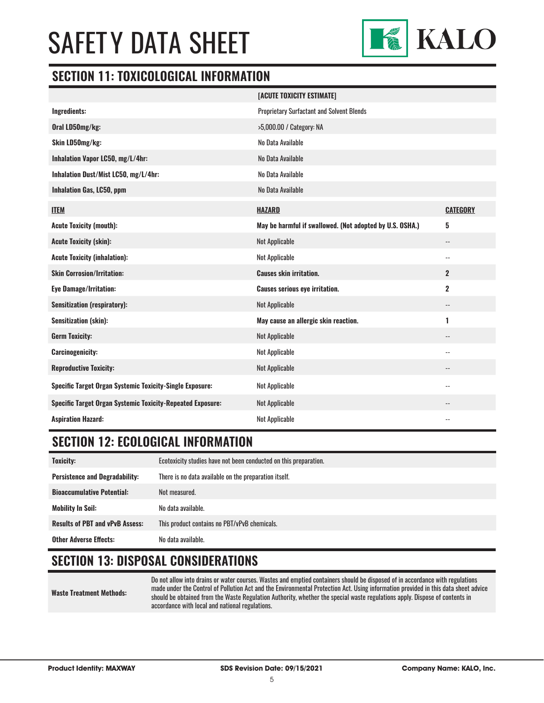

#### **SECTION 11: TOXICOLOGICAL INFORMATION**

|                                                                   | [ACUTE TOXICITY ESTIMATE]                                |                            |
|-------------------------------------------------------------------|----------------------------------------------------------|----------------------------|
| Ingredients:                                                      | <b>Proprietary Surfactant and Solvent Blends</b>         |                            |
| Oral LD50mg/kg:                                                   | >5,000.00 / Category: NA                                 |                            |
| Skin LD50mg/kg:                                                   | No Data Available                                        |                            |
| Inhalation Vapor LC50, mg/L/4hr:                                  | No Data Available                                        |                            |
| Inhalation Dust/Mist LC50, mg/L/4hr:                              | No Data Available                                        |                            |
| <b>Inhalation Gas, LC50, ppm</b>                                  | No Data Available                                        |                            |
| <b>ITEM</b>                                                       | <b>HAZARD</b>                                            | <b>CATEGORY</b>            |
| <b>Acute Toxicity (mouth):</b>                                    | May be harmful if swallowed. (Not adopted by U.S. OSHA.) | 5                          |
| <b>Acute Toxicity (skin):</b>                                     | Not Applicable                                           | $-$                        |
| <b>Acute Toxicity (inhalation):</b>                               | <b>Not Applicable</b>                                    | $\overline{\phantom{a}}$   |
| <b>Skin Corrosion/Irritation:</b>                                 | <b>Causes skin irritation.</b>                           | $\overline{2}$             |
| <b>Eye Damage/Irritation:</b>                                     | <b>Causes serious eye irritation.</b>                    | $\overline{2}$             |
| <b>Sensitization (respiratory):</b>                               | Not Applicable                                           | $\overline{\phantom{a}}$   |
| <b>Sensitization (skin):</b>                                      | May cause an allergic skin reaction.                     | 1                          |
| <b>Germ Toxicity:</b>                                             | Not Applicable                                           | $\overline{\phantom{a}}$   |
| <b>Carcinogenicity:</b>                                           | Not Applicable                                           | $\overline{\phantom{a}}$ . |
| <b>Reproductive Toxicity:</b>                                     | <b>Not Applicable</b>                                    | $\overline{\phantom{a}}$   |
| <b>Specific Target Organ Systemic Toxicity-Single Exposure:</b>   | Not Applicable                                           | $\overline{\phantom{a}}$   |
| <b>Specific Target Organ Systemic Toxicity-Repeated Exposure:</b> | Not Applicable                                           |                            |
| <b>Aspiration Hazard:</b>                                         | <b>Not Applicable</b>                                    | $\overline{\phantom{a}}$   |

### **SECTION 12: ECOLOGICAL INFORMATION**

| Toxicity:                              | Ecotoxicity studies have not been conducted on this preparation. |
|----------------------------------------|------------------------------------------------------------------|
| <b>Persistence and Degradability:</b>  | There is no data available on the preparation itself.            |
| <b>Bioaccumulative Potential:</b>      | Not measured.                                                    |
| <b>Mobility In Soil:</b>               | No data available.                                               |
| <b>Results of PBT and vPvB Assess:</b> | This product contains no PBT/vPvB chemicals.                     |
| <b>Other Adverse Effects:</b>          | No data available.                                               |

### **SECTION 13: DISPOSAL CONSIDERATIONS**

**Waste Treatment Methods:**

Do not allow into drains or water courses. Wastes and emptied containers should be disposed of in accordance with regulations made under the Control of Pollution Act and the Environmental Protection Act. Using information provided in this data sheet advice should be obtained from the Waste Regulation Authority, whether the special waste regulations apply. Dispose of contents in accordance with local and national regulations.